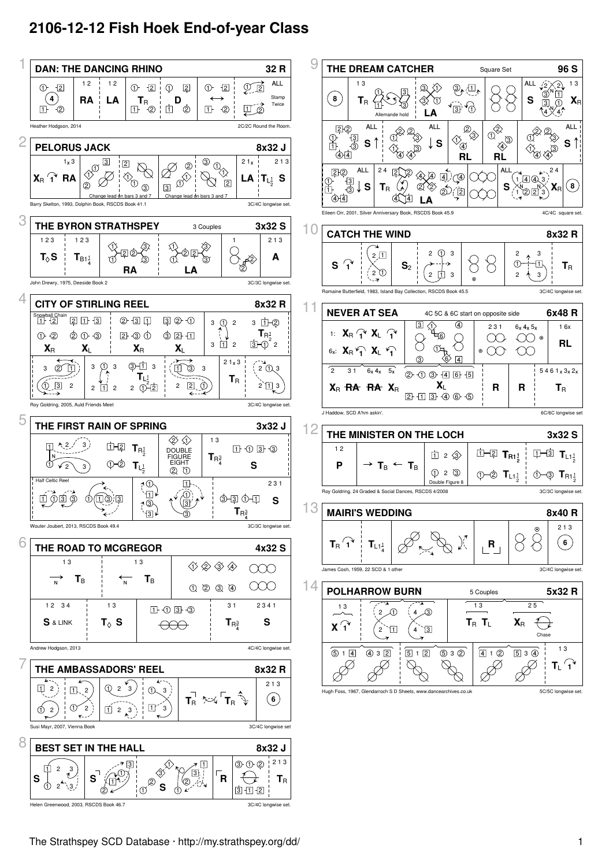## **2106-12-12 Fish Hoek End-of-year Class**